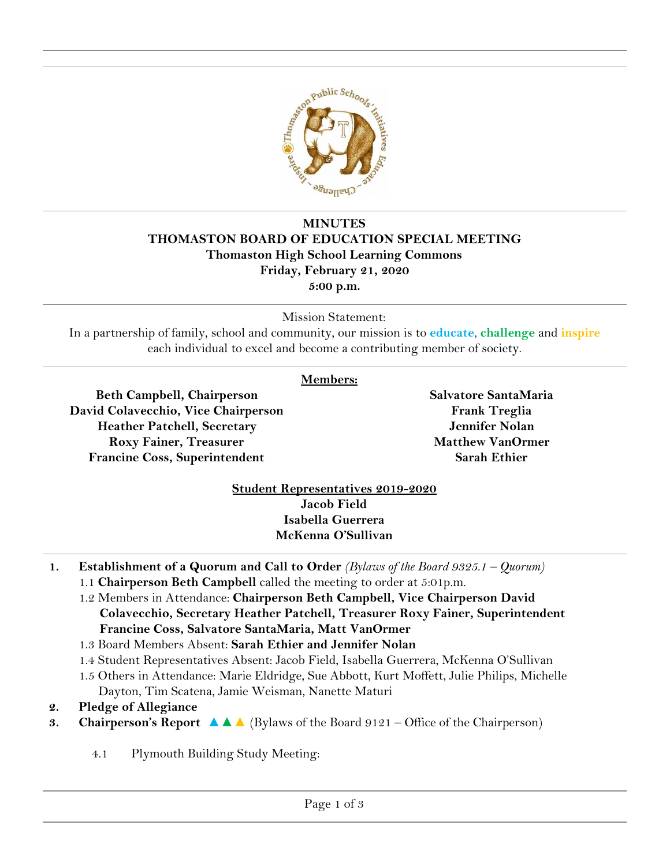

## **MINUTES THOMASTON BOARD OF EDUCATION SPECIAL MEETING Thomaston High School Learning Commons Friday, February 21, 2020 5:00 p.m.**

Mission Statement:

In a partnership of family, school and community, our mission is to **educate**, **challenge** and **inspire** each individual to excel and become a contributing member of society.

## **Members:**

**Beth Campbell, Chairperson David Colavecchio, Vice Chairperson Heather Patchell, Secretary Roxy Fainer, Treasurer Francine Coss, Superintendent**

**Salvatore SantaMaria Frank Treglia Jennifer Nolan Matthew VanOrmer Sarah Ethier**

## **Student Representatives 2019-2020 Jacob Field Isabella Guerrera McKenna O'Sullivan**

- **1. Establishment of a Quorum and Call to Order** *(Bylaws of the Board 9325.1 Quorum)*
	- 1.1 **Chairperson Beth Campbell** called the meeting to order at 5:01p.m.
	- 1.2 Members in Attendance: **Chairperson Beth Campbell, Vice Chairperson David Colavecchio, Secretary Heather Patchell, Treasurer Roxy Fainer, Superintendent Francine Coss, Salvatore SantaMaria, Matt VanOrmer**
	- 1.3 Board Members Absent: **Sarah Ethier and Jennifer Nolan**
	- 1.4 Student Representatives Absent: Jacob Field, Isabella Guerrera, McKenna O'Sullivan
	- 1.5 Others in Attendance: Marie Eldridge, Sue Abbott, Kurt Moffett, Julie Philips, Michelle Dayton, Tim Scatena, Jamie Weisman, Nanette Maturi
- **2. Pledge of Allegiance**
- **3. Chairperson's Report ▲▲▲** (Bylaws of the Board 9121 Office of the Chairperson)
	- 4.1 Plymouth Building Study Meeting: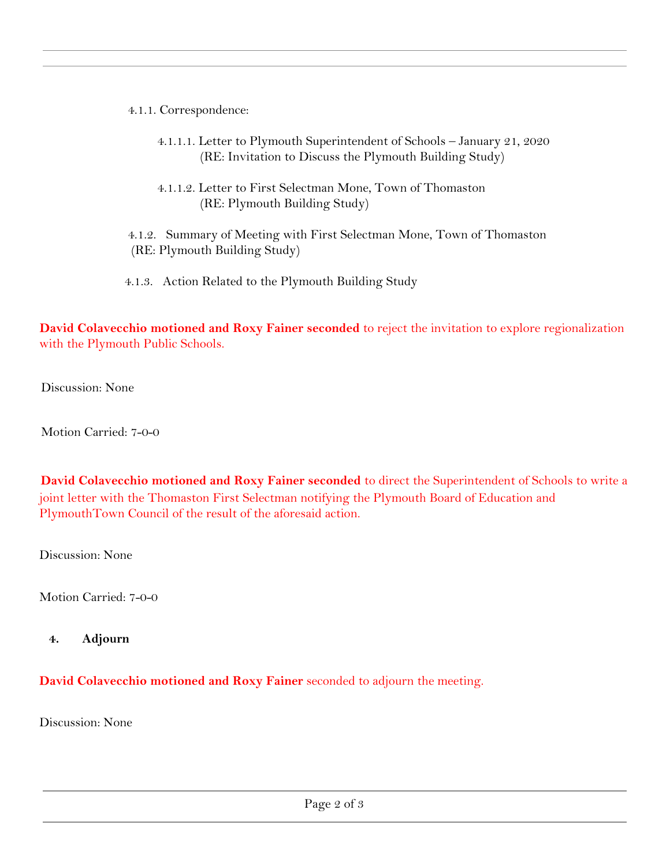- 4.1.1. Correspondence:
	- 4.1.1.1. Letter to Plymouth Superintendent of Schools January 21, 2020 (RE: Invitation to Discuss the Plymouth Building Study)
	- 4.1.1.2. Letter to First Selectman Mone, Town of Thomaston (RE: Plymouth Building Study)
- 4.1.2. Summary of Meeting with First Selectman Mone, Town of Thomaston (RE: Plymouth Building Study)
- 4.1.3. Action Related to the Plymouth Building Study

 **David Colavecchio motioned and Roxy Fainer seconded** to reject the invitation to explore regionalization with the Plymouth Public Schools.

Discussion: None

Motion Carried: 7-0-0

**David Colavecchio motioned and Roxy Fainer seconded** to direct the Superintendent of Schools to write a joint letter with the Thomaston First Selectman notifying the Plymouth Board of Education and PlymouthTown Council of the result of the aforesaid action.

Discussion: None

Motion Carried: 7-0-0

**4. Adjourn**

## **David Colavecchio motioned and Roxy Fainer** seconded to adjourn the meeting.

Discussion: None